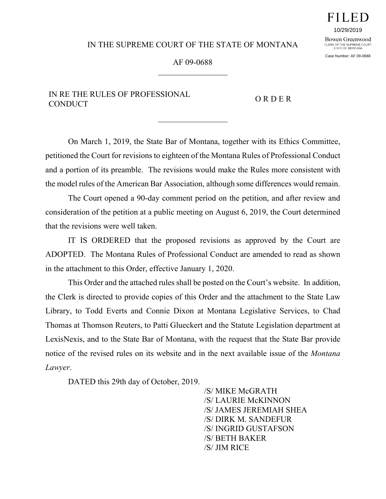#### IN THE SUPREME COURT OF THE STATE OF MONTANA

AF 09-0688

IN RE THE RULES OF PROFESSIONAL THE ROLLS OF TROFESSIONAL ORDER<br>CONDUCT

On March 1, 2019, the State Bar of Montana, together with its Ethics Committee, petitioned the Court for revisions to eighteen of the Montana Rules of Professional Conduct and a portion of its preamble. The revisions would make the Rules more consistent with the model rules of the American Bar Association, although some differences would remain.

 $\mathcal{L}_\text{max}$  and  $\mathcal{L}_\text{max}$ 

The Court opened a 90-day comment period on the petition, and after review and consideration of the petition at a public meeting on August 6, 2019, the Court determined that the revisions were well taken.

IT IS ORDERED that the proposed revisions as approved by the Court are ADOPTED. The Montana Rules of Professional Conduct are amended to read as shown in the attachment to this Order, effective January 1, 2020.

This Order and the attached rules shall be posted on the Court's website. In addition, the Clerk is directed to provide copies of this Order and the attachment to the State Law Library, to Todd Everts and Connie Dixon at Montana Legislative Services, to Chad Thomas at Thomson Reuters, to Patti Glueckert and the Statute Legislation department at LexisNexis, and to the State Bar of Montana, with the request that the State Bar provide notice of the revised rules on its website and in the next available issue of the *Montana Lawyer*.

DATED this 29th day of October, 2019.

/S/ MIKE McGRATH /S/ LAURIE McKINNON /S/ JAMES JEREMIAH SHEA /S/ DIRK M. SANDEFUR /S/ INGRID GUSTAFSON /S/ BETH BAKER /S/ JIM RICE

FILED

10/29/2019 Bowen Greenwood CLERK OF THE SUPREME COURT<br>STATE OF MONTANA

Case Number: AF 09-0688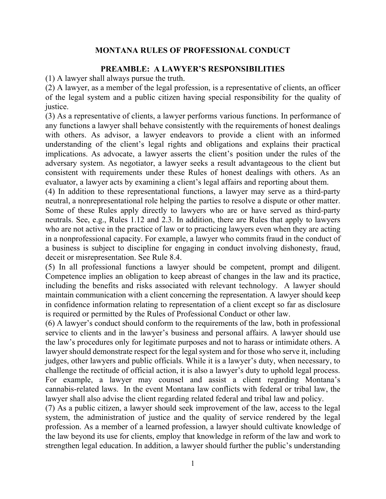#### **MONTANA RULES OF PROFESSIONAL CONDUCT**

#### **PREAMBLE: A LAWYER'S RESPONSIBILITIES**

(1) A lawyer shall always pursue the truth.

(2) A lawyer, as a member of the legal profession, is a representative of clients, an officer of the legal system and a public citizen having special responsibility for the quality of justice.

(3) As a representative of clients, a lawyer performs various functions. In performance of any functions a lawyer shall behave consistently with the requirements of honest dealings with others. As advisor, a lawyer endeavors to provide a client with an informed understanding of the client's legal rights and obligations and explains their practical implications. As advocate, a lawyer asserts the client's position under the rules of the adversary system. As negotiator, a lawyer seeks a result advantageous to the client but consistent with requirements under these Rules of honest dealings with others. As an evaluator, a lawyer acts by examining a client's legal affairs and reporting about them.

(4) In addition to these representational functions, a lawyer may serve as a third-party neutral, a nonrepresentational role helping the parties to resolve a dispute or other matter. Some of these Rules apply directly to lawyers who are or have served as third-party neutrals. See, e.g., Rules 1.12 and 2.3. In addition, there are Rules that apply to lawyers who are not active in the practice of law or to practicing lawyers even when they are acting in a nonprofessional capacity. For example, a lawyer who commits fraud in the conduct of a business is subject to discipline for engaging in conduct involving dishonesty, fraud, deceit or misrepresentation. See Rule 8.4.

(5) In all professional functions a lawyer should be competent, prompt and diligent. Competence implies an obligation to keep abreast of changes in the law and its practice, including the benefits and risks associated with relevant technology. A lawyer should maintain communication with a client concerning the representation. A lawyer should keep in confidence information relating to representation of a client except so far as disclosure is required or permitted by the Rules of Professional Conduct or other law.

(6) A lawyer's conduct should conform to the requirements of the law, both in professional service to clients and in the lawyer's business and personal affairs. A lawyer should use the law's procedures only for legitimate purposes and not to harass or intimidate others. A lawyer should demonstrate respect for the legal system and for those who serve it, including judges, other lawyers and public officials. While it is a lawyer's duty, when necessary, to challenge the rectitude of official action, it is also a lawyer's duty to uphold legal process. For example, a lawyer may counsel and assist a client regarding Montana's cannabis-related laws. In the event Montana law conflicts with federal or tribal law, the lawyer shall also advise the client regarding related federal and tribal law and policy.

(7) As a public citizen, a lawyer should seek improvement of the law, access to the legal system, the administration of justice and the quality of service rendered by the legal profession. As a member of a learned profession, a lawyer should cultivate knowledge of the law beyond its use for clients, employ that knowledge in reform of the law and work to strengthen legal education. In addition, a lawyer should further the public's understanding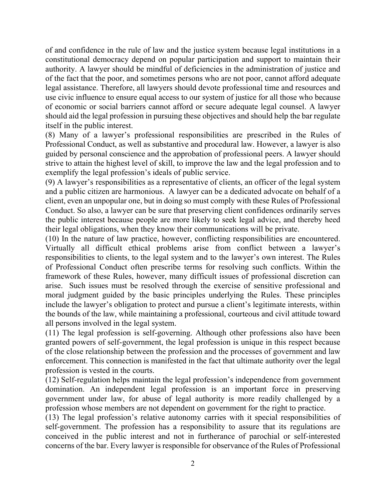of and confidence in the rule of law and the justice system because legal institutions in a constitutional democracy depend on popular participation and support to maintain their authority. A lawyer should be mindful of deficiencies in the administration of justice and of the fact that the poor, and sometimes persons who are not poor, cannot afford adequate legal assistance. Therefore, all lawyers should devote professional time and resources and use civic influence to ensure equal access to our system of justice for all those who because of economic or social barriers cannot afford or secure adequate legal counsel. A lawyer should aid the legal profession in pursuing these objectives and should help the bar regulate itself in the public interest.

(8) Many of a lawyer's professional responsibilities are prescribed in the Rules of Professional Conduct, as well as substantive and procedural law. However, a lawyer is also guided by personal conscience and the approbation of professional peers. A lawyer should strive to attain the highest level of skill, to improve the law and the legal profession and to exemplify the legal profession's ideals of public service.

(9) A lawyer's responsibilities as a representative of clients, an officer of the legal system and a public citizen are harmonious. A lawyer can be a dedicated advocate on behalf of a client, even an unpopular one, but in doing so must comply with these Rules of Professional Conduct. So also, a lawyer can be sure that preserving client confidences ordinarily serves the public interest because people are more likely to seek legal advice, and thereby heed their legal obligations, when they know their communications will be private.

(10) In the nature of law practice, however, conflicting responsibilities are encountered. Virtually all difficult ethical problems arise from conflict between a lawyer's responsibilities to clients, to the legal system and to the lawyer's own interest. The Rules of Professional Conduct often prescribe terms for resolving such conflicts. Within the framework of these Rules, however, many difficult issues of professional discretion can arise. Such issues must be resolved through the exercise of sensitive professional and moral judgment guided by the basic principles underlying the Rules. These principles include the lawyer's obligation to protect and pursue a client's legitimate interests, within the bounds of the law, while maintaining a professional, courteous and civil attitude toward all persons involved in the legal system.

(11) The legal profession is self-governing. Although other professions also have been granted powers of self-government, the legal profession is unique in this respect because of the close relationship between the profession and the processes of government and law enforcement. This connection is manifested in the fact that ultimate authority over the legal profession is vested in the courts.

(12) Self-regulation helps maintain the legal profession's independence from government domination. An independent legal profession is an important force in preserving government under law, for abuse of legal authority is more readily challenged by a profession whose members are not dependent on government for the right to practice.

(13) The legal profession's relative autonomy carries with it special responsibilities of self-government. The profession has a responsibility to assure that its regulations are conceived in the public interest and not in furtherance of parochial or self-interested concerns of the bar. Every lawyer is responsible for observance of the Rules of Professional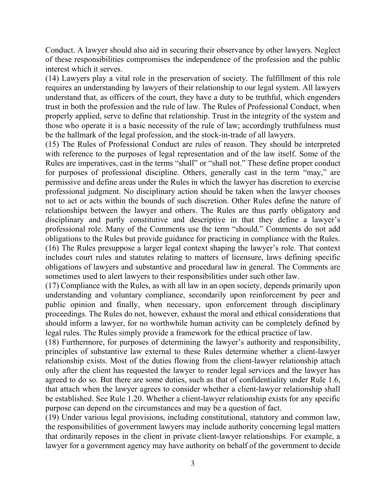Conduct. A lawyer should also aid in securing their observance by other lawyers. Neglect of these responsibilities compromises the independence of the profession and the public interest which it serves.

(14) Lawyers play a vital role in the preservation of society. The fulfillment of this role requires an understanding by lawyers of their relationship to our legal system. All lawyers understand that, as officers of the court, they have a duty to be truthful, which engenders trust in both the profession and the rule of law. The Rules of Professional Conduct, when properly applied, serve to define that relationship. Trust in the integrity of the system and those who operate it is a basic necessity of the rule of law; accordingly truthfulness must be the hallmark of the legal profession, and the stock-in-trade of all lawyers.

(15) The Rules of Professional Conduct are rules of reason. They should be interpreted with reference to the purposes of legal representation and of the law itself. Some of the Rules are imperatives, cast in the terms "shall" or "shall not." These define proper conduct for purposes of professional discipline. Others, generally cast in the term "may," are permissive and define areas under the Rules in which the lawyer has discretion to exercise professional judgment. No disciplinary action should be taken when the lawyer chooses not to act or acts within the bounds of such discretion. Other Rules define the nature of relationships between the lawyer and others. The Rules are thus partly obligatory and disciplinary and partly constitutive and descriptive in that they define a lawyer's professional role. Many of the Comments use the term "should." Comments do not add obligations to the Rules but provide guidance for practicing in compliance with the Rules. (16) The Rules presuppose a larger legal context shaping the lawyer's role. That context includes court rules and statutes relating to matters of licensure, laws defining specific obligations of lawyers and substantive and procedural law in general. The Comments are sometimes used to alert lawyers to their responsibilities under such other law.

(17) Compliance with the Rules, as with all law in an open society, depends primarily upon understanding and voluntary compliance, secondarily upon reinforcement by peer and public opinion and finally, when necessary, upon enforcement through disciplinary proceedings. The Rules do not, however, exhaust the moral and ethical considerations that should inform a lawyer, for no worthwhile human activity can be completely defined by legal rules. The Rules simply provide a framework for the ethical practice of law.

(18) Furthermore, for purposes of determining the lawyer's authority and responsibility, principles of substantive law external to these Rules determine whether a client-lawyer relationship exists. Most of the duties flowing from the client-lawyer relationship attach only after the client has requested the lawyer to render legal services and the lawyer has agreed to do so. But there are some duties, such as that of confidentiality under Rule 1.6, that attach when the lawyer agrees to consider whether a client-lawyer relationship shall be established. See Rule 1.20. Whether a client-lawyer relationship exists for any specific purpose can depend on the circumstances and may be a question of fact.

(19) Under various legal provisions, including constitutional, statutory and common law, the responsibilities of government lawyers may include authority concerning legal matters that ordinarily reposes in the client in private client-lawyer relationships. For example, a lawyer for a government agency may have authority on behalf of the government to decide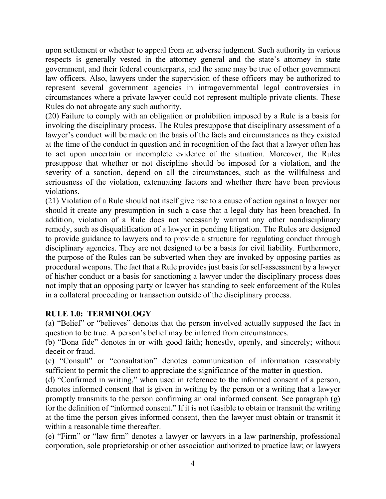upon settlement or whether to appeal from an adverse judgment. Such authority in various respects is generally vested in the attorney general and the state's attorney in state government, and their federal counterparts, and the same may be true of other government law officers. Also, lawyers under the supervision of these officers may be authorized to represent several government agencies in intragovernmental legal controversies in circumstances where a private lawyer could not represent multiple private clients. These Rules do not abrogate any such authority.

(20) Failure to comply with an obligation or prohibition imposed by a Rule is a basis for invoking the disciplinary process. The Rules presuppose that disciplinary assessment of a lawyer's conduct will be made on the basis of the facts and circumstances as they existed at the time of the conduct in question and in recognition of the fact that a lawyer often has to act upon uncertain or incomplete evidence of the situation. Moreover, the Rules presuppose that whether or not discipline should be imposed for a violation, and the severity of a sanction, depend on all the circumstances, such as the willfulness and seriousness of the violation, extenuating factors and whether there have been previous violations.

(21) Violation of a Rule should not itself give rise to a cause of action against a lawyer nor should it create any presumption in such a case that a legal duty has been breached. In addition, violation of a Rule does not necessarily warrant any other nondisciplinary remedy, such as disqualification of a lawyer in pending litigation. The Rules are designed to provide guidance to lawyers and to provide a structure for regulating conduct through disciplinary agencies. They are not designed to be a basis for civil liability. Furthermore, the purpose of the Rules can be subverted when they are invoked by opposing parties as procedural weapons. The fact that a Rule provides just basis for self-assessment by a lawyer of his/her conduct or a basis for sanctioning a lawyer under the disciplinary process does not imply that an opposing party or lawyer has standing to seek enforcement of the Rules in a collateral proceeding or transaction outside of the disciplinary process.

#### **RULE 1.0: TERMINOLOGY**

(a) "Belief" or "believes" denotes that the person involved actually supposed the fact in question to be true. A person's belief may be inferred from circumstances.

(b) "Bona fide" denotes in or with good faith; honestly, openly, and sincerely; without deceit or fraud.

(c) "Consult" or "consultation" denotes communication of information reasonably sufficient to permit the client to appreciate the significance of the matter in question.

(d) "Confirmed in writing," when used in reference to the informed consent of a person, denotes informed consent that is given in writing by the person or a writing that a lawyer promptly transmits to the person confirming an oral informed consent. See paragraph (g) for the definition of "informed consent." If it is not feasible to obtain or transmit the writing at the time the person gives informed consent, then the lawyer must obtain or transmit it within a reasonable time thereafter.

(e) "Firm" or "law firm" denotes a lawyer or lawyers in a law partnership, professional corporation, sole proprietorship or other association authorized to practice law; or lawyers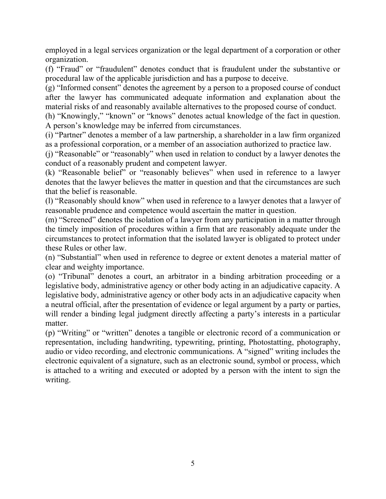employed in a legal services organization or the legal department of a corporation or other organization.

(f) "Fraud" or "fraudulent" denotes conduct that is fraudulent under the substantive or procedural law of the applicable jurisdiction and has a purpose to deceive.

(g) "Informed consent" denotes the agreement by a person to a proposed course of conduct after the lawyer has communicated adequate information and explanation about the material risks of and reasonably available alternatives to the proposed course of conduct.

(h) "Knowingly," "known" or "knows" denotes actual knowledge of the fact in question. A person's knowledge may be inferred from circumstances.

(i) "Partner" denotes a member of a law partnership, a shareholder in a law firm organized as a professional corporation, or a member of an association authorized to practice law.

(j) "Reasonable" or "reasonably" when used in relation to conduct by a lawyer denotes the conduct of a reasonably prudent and competent lawyer.

(k) "Reasonable belief" or "reasonably believes" when used in reference to a lawyer denotes that the lawyer believes the matter in question and that the circumstances are such that the belief is reasonable.

(l) "Reasonably should know" when used in reference to a lawyer denotes that a lawyer of reasonable prudence and competence would ascertain the matter in question.

(m) "Screened" denotes the isolation of a lawyer from any participation in a matter through the timely imposition of procedures within a firm that are reasonably adequate under the circumstances to protect information that the isolated lawyer is obligated to protect under these Rules or other law.

(n) "Substantial" when used in reference to degree or extent denotes a material matter of clear and weighty importance.

(o) "Tribunal" denotes a court, an arbitrator in a binding arbitration proceeding or a legislative body, administrative agency or other body acting in an adjudicative capacity. A legislative body, administrative agency or other body acts in an adjudicative capacity when a neutral official, after the presentation of evidence or legal argument by a party or parties, will render a binding legal judgment directly affecting a party's interests in a particular matter.

(p) "Writing" or "written" denotes a tangible or electronic record of a communication or representation, including handwriting, typewriting, printing, Photostatting, photography, audio or video recording, and electronic communications. A "signed" writing includes the electronic equivalent of a signature, such as an electronic sound, symbol or process, which is attached to a writing and executed or adopted by a person with the intent to sign the writing.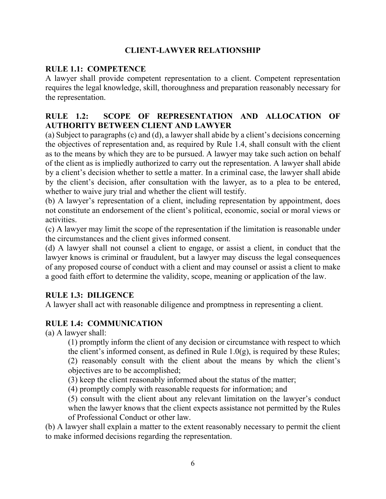### **CLIENT-LAWYER RELATIONSHIP**

### **RULE 1.1: COMPETENCE**

A lawyer shall provide competent representation to a client. Competent representation requires the legal knowledge, skill, thoroughness and preparation reasonably necessary for the representation.

### **RULE 1.2: SCOPE OF REPRESENTATION AND ALLOCATION OF AUTHORITY BETWEEN CLIENT AND LAWYER**

(a) Subject to paragraphs (c) and (d), a lawyer shall abide by a client's decisions concerning the objectives of representation and, as required by Rule 1.4, shall consult with the client as to the means by which they are to be pursued. A lawyer may take such action on behalf of the client as is impliedly authorized to carry out the representation. A lawyer shall abide by a client's decision whether to settle a matter. In a criminal case, the lawyer shall abide by the client's decision, after consultation with the lawyer, as to a plea to be entered, whether to waive jury trial and whether the client will testify.

(b) A lawyer's representation of a client, including representation by appointment, does not constitute an endorsement of the client's political, economic, social or moral views or activities.

(c) A lawyer may limit the scope of the representation if the limitation is reasonable under the circumstances and the client gives informed consent.

(d) A lawyer shall not counsel a client to engage, or assist a client, in conduct that the lawyer knows is criminal or fraudulent, but a lawyer may discuss the legal consequences of any proposed course of conduct with a client and may counsel or assist a client to make a good faith effort to determine the validity, scope, meaning or application of the law.

# **RULE 1.3: DILIGENCE**

A lawyer shall act with reasonable diligence and promptness in representing a client.

# **RULE 1.4: COMMUNICATION**

(a) A lawyer shall:

(1) promptly inform the client of any decision or circumstance with respect to which the client's informed consent, as defined in Rule  $1.0(g)$ , is required by these Rules; (2) reasonably consult with the client about the means by which the client's objectives are to be accomplished;

(3) keep the client reasonably informed about the status of the matter;

(4) promptly comply with reasonable requests for information; and

(5) consult with the client about any relevant limitation on the lawyer's conduct when the lawyer knows that the client expects assistance not permitted by the Rules of Professional Conduct or other law.

(b) A lawyer shall explain a matter to the extent reasonably necessary to permit the client to make informed decisions regarding the representation.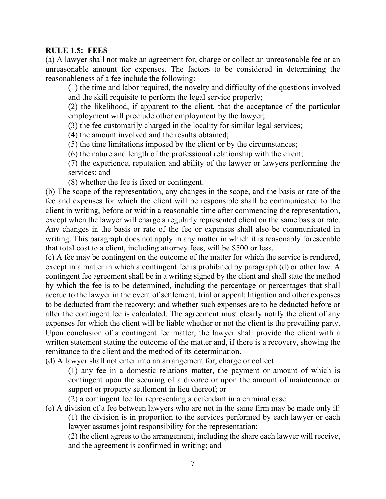#### **RULE 1.5: FEES**

(a) A lawyer shall not make an agreement for, charge or collect an unreasonable fee or an unreasonable amount for expenses. The factors to be considered in determining the reasonableness of a fee include the following:

(1) the time and labor required, the novelty and difficulty of the questions involved and the skill requisite to perform the legal service properly;

(2) the likelihood, if apparent to the client, that the acceptance of the particular employment will preclude other employment by the lawyer;

(3) the fee customarily charged in the locality for similar legal services;

(4) the amount involved and the results obtained;

(5) the time limitations imposed by the client or by the circumstances;

(6) the nature and length of the professional relationship with the client;

(7) the experience, reputation and ability of the lawyer or lawyers performing the services; and

(8) whether the fee is fixed or contingent.

(b) The scope of the representation, any changes in the scope, and the basis or rate of the fee and expenses for which the client will be responsible shall be communicated to the client in writing, before or within a reasonable time after commencing the representation, except when the lawyer will charge a regularly represented client on the same basis or rate. Any changes in the basis or rate of the fee or expenses shall also be communicated in writing. This paragraph does not apply in any matter in which it is reasonably foreseeable that total cost to a client, including attorney fees, will be \$500 or less.

(c) A fee may be contingent on the outcome of the matter for which the service is rendered, except in a matter in which a contingent fee is prohibited by paragraph (d) or other law. A contingent fee agreement shall be in a writing signed by the client and shall state the method by which the fee is to be determined, including the percentage or percentages that shall accrue to the lawyer in the event of settlement, trial or appeal; litigation and other expenses to be deducted from the recovery; and whether such expenses are to be deducted before or after the contingent fee is calculated. The agreement must clearly notify the client of any expenses for which the client will be liable whether or not the client is the prevailing party. Upon conclusion of a contingent fee matter, the lawyer shall provide the client with a written statement stating the outcome of the matter and, if there is a recovery, showing the remittance to the client and the method of its determination.

(d) A lawyer shall not enter into an arrangement for, charge or collect:

(1) any fee in a domestic relations matter, the payment or amount of which is contingent upon the securing of a divorce or upon the amount of maintenance or support or property settlement in lieu thereof; or

(2) a contingent fee for representing a defendant in a criminal case.

(e) A division of a fee between lawyers who are not in the same firm may be made only if: (1) the division is in proportion to the services performed by each lawyer or each lawyer assumes joint responsibility for the representation;

(2) the client agrees to the arrangement, including the share each lawyer will receive, and the agreement is confirmed in writing; and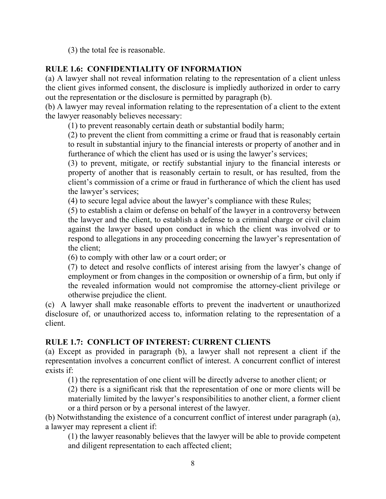(3) the total fee is reasonable.

# **RULE 1.6: CONFIDENTIALITY OF INFORMATION**

(a) A lawyer shall not reveal information relating to the representation of a client unless the client gives informed consent, the disclosure is impliedly authorized in order to carry out the representation or the disclosure is permitted by paragraph (b).

(b) A lawyer may reveal information relating to the representation of a client to the extent the lawyer reasonably believes necessary:

(1) to prevent reasonably certain death or substantial bodily harm;

(2) to prevent the client from committing a crime or fraud that is reasonably certain to result in substantial injury to the financial interests or property of another and in furtherance of which the client has used or is using the lawyer's services;

(3) to prevent, mitigate, or rectify substantial injury to the financial interests or property of another that is reasonably certain to result, or has resulted, from the client's commission of a crime or fraud in furtherance of which the client has used the lawyer's services;

(4) to secure legal advice about the lawyer's compliance with these Rules;

(5) to establish a claim or defense on behalf of the lawyer in a controversy between the lawyer and the client, to establish a defense to a criminal charge or civil claim against the lawyer based upon conduct in which the client was involved or to respond to allegations in any proceeding concerning the lawyer's representation of the client;

(6) to comply with other law or a court order; or

(7) to detect and resolve conflicts of interest arising from the lawyer's change of employment or from changes in the composition or ownership of a firm, but only if the revealed information would not compromise the attorney-client privilege or otherwise prejudice the client.

(c) A lawyer shall make reasonable efforts to prevent the inadvertent or unauthorized disclosure of, or unauthorized access to, information relating to the representation of a client.

### **RULE 1.7: CONFLICT OF INTEREST: CURRENT CLIENTS**

(a) Except as provided in paragraph (b), a lawyer shall not represent a client if the representation involves a concurrent conflict of interest. A concurrent conflict of interest exists if:

(1) the representation of one client will be directly adverse to another client; or

(2) there is a significant risk that the representation of one or more clients will be materially limited by the lawyer's responsibilities to another client, a former client or a third person or by a personal interest of the lawyer.

(b) Notwithstanding the existence of a concurrent conflict of interest under paragraph (a), a lawyer may represent a client if:

(1) the lawyer reasonably believes that the lawyer will be able to provide competent and diligent representation to each affected client;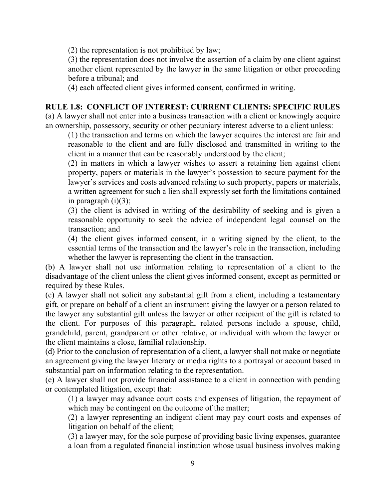(2) the representation is not prohibited by law;

(3) the representation does not involve the assertion of a claim by one client against another client represented by the lawyer in the same litigation or other proceeding before a tribunal; and

(4) each affected client gives informed consent, confirmed in writing.

#### **RULE 1.8: CONFLICT OF INTEREST: CURRENT CLIENTS: SPECIFIC RULES**

(a) A lawyer shall not enter into a business transaction with a client or knowingly acquire an ownership, possessory, security or other pecuniary interest adverse to a client unless:

(1) the transaction and terms on which the lawyer acquires the interest are fair and reasonable to the client and are fully disclosed and transmitted in writing to the client in a manner that can be reasonably understood by the client;

(2) in matters in which a lawyer wishes to assert a retaining lien against client property, papers or materials in the lawyer's possession to secure payment for the lawyer's services and costs advanced relating to such property, papers or materials, a written agreement for such a lien shall expressly set forth the limitations contained in paragraph  $(i)(3)$ ;

(3) the client is advised in writing of the desirability of seeking and is given a reasonable opportunity to seek the advice of independent legal counsel on the transaction; and

(4) the client gives informed consent, in a writing signed by the client, to the essential terms of the transaction and the lawyer's role in the transaction, including whether the lawyer is representing the client in the transaction.

(b) A lawyer shall not use information relating to representation of a client to the disadvantage of the client unless the client gives informed consent, except as permitted or required by these Rules.

(c) A lawyer shall not solicit any substantial gift from a client, including a testamentary gift, or prepare on behalf of a client an instrument giving the lawyer or a person related to the lawyer any substantial gift unless the lawyer or other recipient of the gift is related to the client. For purposes of this paragraph, related persons include a spouse, child, grandchild, parent, grandparent or other relative, or individual with whom the lawyer or the client maintains a close, familial relationship.

(d) Prior to the conclusion of representation of a client, a lawyer shall not make or negotiate an agreement giving the lawyer literary or media rights to a portrayal or account based in substantial part on information relating to the representation.

(e) A lawyer shall not provide financial assistance to a client in connection with pending or contemplated litigation, except that:

(1) a lawyer may advance court costs and expenses of litigation, the repayment of which may be contingent on the outcome of the matter;

(2) a lawyer representing an indigent client may pay court costs and expenses of litigation on behalf of the client;

(3) a lawyer may, for the sole purpose of providing basic living expenses, guarantee a loan from a regulated financial institution whose usual business involves making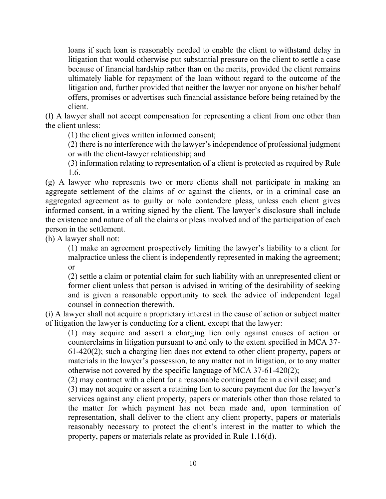loans if such loan is reasonably needed to enable the client to withstand delay in litigation that would otherwise put substantial pressure on the client to settle a case because of financial hardship rather than on the merits, provided the client remains ultimately liable for repayment of the loan without regard to the outcome of the litigation and, further provided that neither the lawyer nor anyone on his/her behalf offers, promises or advertises such financial assistance before being retained by the client.

(f) A lawyer shall not accept compensation for representing a client from one other than the client unless:

(1) the client gives written informed consent;

(2) there is no interference with the lawyer's independence of professional judgment or with the client-lawyer relationship; and

(3) information relating to representation of a client is protected as required by Rule 1.6.

(g) A lawyer who represents two or more clients shall not participate in making an aggregate settlement of the claims of or against the clients, or in a criminal case an aggregated agreement as to guilty or nolo contendere pleas, unless each client gives informed consent, in a writing signed by the client. The lawyer's disclosure shall include the existence and nature of all the claims or pleas involved and of the participation of each person in the settlement.

(h) A lawyer shall not:

(1) make an agreement prospectively limiting the lawyer's liability to a client for malpractice unless the client is independently represented in making the agreement; or

(2) settle a claim or potential claim for such liability with an unrepresented client or former client unless that person is advised in writing of the desirability of seeking and is given a reasonable opportunity to seek the advice of independent legal counsel in connection therewith.

(i) A lawyer shall not acquire a proprietary interest in the cause of action or subject matter of litigation the lawyer is conducting for a client, except that the lawyer:

(1) may acquire and assert a charging lien only against causes of action or counterclaims in litigation pursuant to and only to the extent specified in MCA 37- 61-420(2); such a charging lien does not extend to other client property, papers or materials in the lawyer's possession, to any matter not in litigation, or to any matter otherwise not covered by the specific language of MCA 37-61-420(2);

(2) may contract with a client for a reasonable contingent fee in a civil case; and

(3) may not acquire or assert a retaining lien to secure payment due for the lawyer's services against any client property, papers or materials other than those related to the matter for which payment has not been made and, upon termination of representation, shall deliver to the client any client property, papers or materials reasonably necessary to protect the client's interest in the matter to which the property, papers or materials relate as provided in Rule 1.16(d).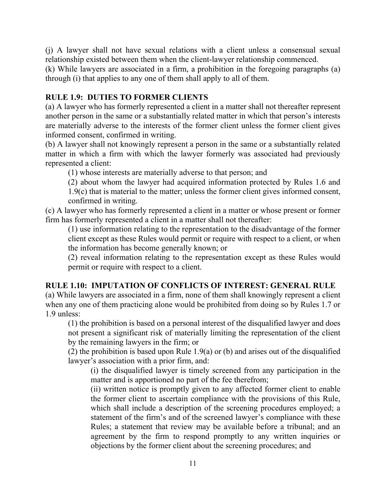(j) A lawyer shall not have sexual relations with a client unless a consensual sexual relationship existed between them when the client-lawyer relationship commenced.

(k) While lawyers are associated in a firm, a prohibition in the foregoing paragraphs (a) through (i) that applies to any one of them shall apply to all of them.

#### **RULE 1.9: DUTIES TO FORMER CLIENTS**

(a) A lawyer who has formerly represented a client in a matter shall not thereafter represent another person in the same or a substantially related matter in which that person's interests are materially adverse to the interests of the former client unless the former client gives informed consent, confirmed in writing.

(b) A lawyer shall not knowingly represent a person in the same or a substantially related matter in which a firm with which the lawyer formerly was associated had previously represented a client:

(1) whose interests are materially adverse to that person; and

(2) about whom the lawyer had acquired information protected by Rules 1.6 and 1.9(c) that is material to the matter; unless the former client gives informed consent, confirmed in writing.

(c) A lawyer who has formerly represented a client in a matter or whose present or former firm has formerly represented a client in a matter shall not thereafter:

(1) use information relating to the representation to the disadvantage of the former client except as these Rules would permit or require with respect to a client, or when the information has become generally known; or

(2) reveal information relating to the representation except as these Rules would permit or require with respect to a client.

### **RULE 1.10: IMPUTATION OF CONFLICTS OF INTEREST: GENERAL RULE**

(a) While lawyers are associated in a firm, none of them shall knowingly represent a client when any one of them practicing alone would be prohibited from doing so by Rules 1.7 or 1.9 unless:

(1) the prohibition is based on a personal interest of the disqualified lawyer and does not present a significant risk of materially limiting the representation of the client by the remaining lawyers in the firm; or

(2) the prohibition is based upon Rule 1.9(a) or (b) and arises out of the disqualified lawyer's association with a prior firm, and:

(i) the disqualified lawyer is timely screened from any participation in the matter and is apportioned no part of the fee therefrom;

(ii) written notice is promptly given to any affected former client to enable the former client to ascertain compliance with the provisions of this Rule, which shall include a description of the screening procedures employed; a statement of the firm's and of the screened lawyer's compliance with these Rules; a statement that review may be available before a tribunal; and an agreement by the firm to respond promptly to any written inquiries or objections by the former client about the screening procedures; and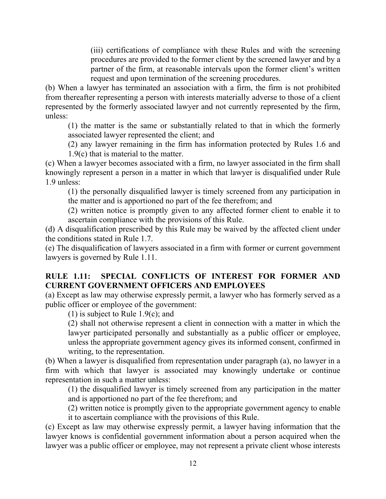(iii) certifications of compliance with these Rules and with the screening procedures are provided to the former client by the screened lawyer and by a partner of the firm, at reasonable intervals upon the former client's written request and upon termination of the screening procedures.

(b) When a lawyer has terminated an association with a firm, the firm is not prohibited from thereafter representing a person with interests materially adverse to those of a client represented by the formerly associated lawyer and not currently represented by the firm, unless:

(1) the matter is the same or substantially related to that in which the formerly associated lawyer represented the client; and

(2) any lawyer remaining in the firm has information protected by Rules 1.6 and 1.9(c) that is material to the matter.

(c) When a lawyer becomes associated with a firm, no lawyer associated in the firm shall knowingly represent a person in a matter in which that lawyer is disqualified under Rule 1.9 unless:

(1) the personally disqualified lawyer is timely screened from any participation in the matter and is apportioned no part of the fee therefrom; and

(2) written notice is promptly given to any affected former client to enable it to ascertain compliance with the provisions of this Rule.

(d) A disqualification prescribed by this Rule may be waived by the affected client under the conditions stated in Rule 1.7.

(e) The disqualification of lawyers associated in a firm with former or current government lawyers is governed by Rule 1.11.

### **RULE 1.11: SPECIAL CONFLICTS OF INTEREST FOR FORMER AND CURRENT GOVERNMENT OFFICERS AND EMPLOYEES**

(a) Except as law may otherwise expressly permit, a lawyer who has formerly served as a public officer or employee of the government:

 $(1)$  is subject to Rule 1.9 $(c)$ ; and

(2) shall not otherwise represent a client in connection with a matter in which the lawyer participated personally and substantially as a public officer or employee, unless the appropriate government agency gives its informed consent, confirmed in writing, to the representation.

(b) When a lawyer is disqualified from representation under paragraph (a), no lawyer in a firm with which that lawyer is associated may knowingly undertake or continue representation in such a matter unless:

(1) the disqualified lawyer is timely screened from any participation in the matter and is apportioned no part of the fee therefrom; and

(2) written notice is promptly given to the appropriate government agency to enable it to ascertain compliance with the provisions of this Rule.

(c) Except as law may otherwise expressly permit, a lawyer having information that the lawyer knows is confidential government information about a person acquired when the lawyer was a public officer or employee, may not represent a private client whose interests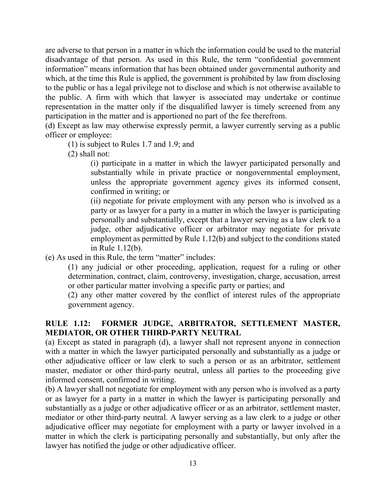are adverse to that person in a matter in which the information could be used to the material disadvantage of that person. As used in this Rule, the term "confidential government information" means information that has been obtained under governmental authority and which, at the time this Rule is applied, the government is prohibited by law from disclosing to the public or has a legal privilege not to disclose and which is not otherwise available to the public. A firm with which that lawyer is associated may undertake or continue representation in the matter only if the disqualified lawyer is timely screened from any participation in the matter and is apportioned no part of the fee therefrom.

(d) Except as law may otherwise expressly permit, a lawyer currently serving as a public officer or employee:

(1) is subject to Rules 1.7 and 1.9; and

(2) shall not:

(i) participate in a matter in which the lawyer participated personally and substantially while in private practice or nongovernmental employment, unless the appropriate government agency gives its informed consent, confirmed in writing; or

(ii) negotiate for private employment with any person who is involved as a party or as lawyer for a party in a matter in which the lawyer is participating personally and substantially, except that a lawyer serving as a law clerk to a judge, other adjudicative officer or arbitrator may negotiate for private employment as permitted by Rule 1.12(b) and subject to the conditions stated in Rule 1.12(b).

(e) As used in this Rule, the term "matter" includes:

(1) any judicial or other proceeding, application, request for a ruling or other determination, contract, claim, controversy, investigation, charge, accusation, arrest or other particular matter involving a specific party or parties; and

(2) any other matter covered by the conflict of interest rules of the appropriate government agency.

### **RULE 1.12: FORMER JUDGE, ARBITRATOR, SETTLEMENT MASTER, MEDIATOR, OR OTHER THIRD-PARTY NEUTRAL**

(a) Except as stated in paragraph (d), a lawyer shall not represent anyone in connection with a matter in which the lawyer participated personally and substantially as a judge or other adjudicative officer or law clerk to such a person or as an arbitrator, settlement master, mediator or other third-party neutral, unless all parties to the proceeding give informed consent, confirmed in writing.

(b) A lawyer shall not negotiate for employment with any person who is involved as a party or as lawyer for a party in a matter in which the lawyer is participating personally and substantially as a judge or other adjudicative officer or as an arbitrator, settlement master, mediator or other third-party neutral. A lawyer serving as a law clerk to a judge or other adjudicative officer may negotiate for employment with a party or lawyer involved in a matter in which the clerk is participating personally and substantially, but only after the lawyer has notified the judge or other adjudicative officer.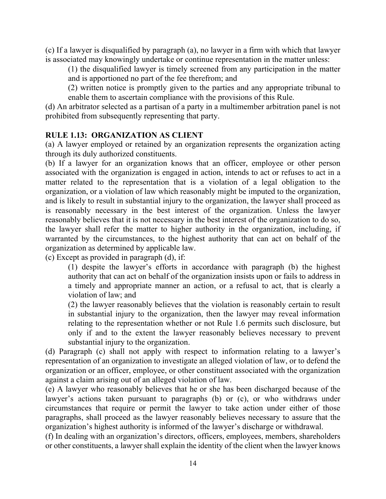(c) If a lawyer is disqualified by paragraph (a), no lawyer in a firm with which that lawyer is associated may knowingly undertake or continue representation in the matter unless:

(1) the disqualified lawyer is timely screened from any participation in the matter and is apportioned no part of the fee therefrom; and

(2) written notice is promptly given to the parties and any appropriate tribunal to enable them to ascertain compliance with the provisions of this Rule.

(d) An arbitrator selected as a partisan of a party in a multimember arbitration panel is not prohibited from subsequently representing that party.

#### **RULE 1.13: ORGANIZATION AS CLIENT**

(a) A lawyer employed or retained by an organization represents the organization acting through its duly authorized constituents.

(b) If a lawyer for an organization knows that an officer, employee or other person associated with the organization is engaged in action, intends to act or refuses to act in a matter related to the representation that is a violation of a legal obligation to the organization, or a violation of law which reasonably might be imputed to the organization, and is likely to result in substantial injury to the organization, the lawyer shall proceed as is reasonably necessary in the best interest of the organization. Unless the lawyer reasonably believes that it is not necessary in the best interest of the organization to do so, the lawyer shall refer the matter to higher authority in the organization, including, if warranted by the circumstances, to the highest authority that can act on behalf of the organization as determined by applicable law.

(c) Except as provided in paragraph (d), if:

(1) despite the lawyer's efforts in accordance with paragraph (b) the highest authority that can act on behalf of the organization insists upon or fails to address in a timely and appropriate manner an action, or a refusal to act, that is clearly a violation of law; and

(2) the lawyer reasonably believes that the violation is reasonably certain to result in substantial injury to the organization, then the lawyer may reveal information relating to the representation whether or not Rule 1.6 permits such disclosure, but only if and to the extent the lawyer reasonably believes necessary to prevent substantial injury to the organization.

(d) Paragraph (c) shall not apply with respect to information relating to a lawyer's representation of an organization to investigate an alleged violation of law, or to defend the organization or an officer, employee, or other constituent associated with the organization against a claim arising out of an alleged violation of law.

(e) A lawyer who reasonably believes that he or she has been discharged because of the lawyer's actions taken pursuant to paragraphs (b) or (c), or who withdraws under circumstances that require or permit the lawyer to take action under either of those paragraphs, shall proceed as the lawyer reasonably believes necessary to assure that the organization's highest authority is informed of the lawyer's discharge or withdrawal.

(f) In dealing with an organization's directors, officers, employees, members, shareholders or other constituents, a lawyer shall explain the identity of the client when the lawyer knows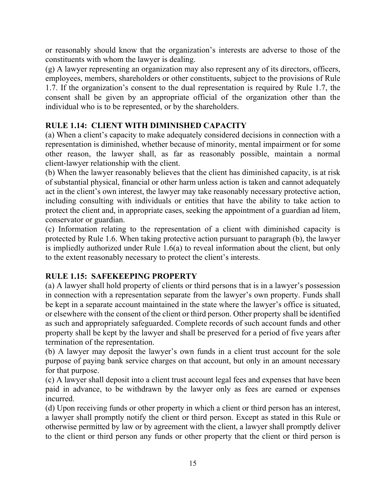or reasonably should know that the organization's interests are adverse to those of the constituents with whom the lawyer is dealing.

(g) A lawyer representing an organization may also represent any of its directors, officers, employees, members, shareholders or other constituents, subject to the provisions of Rule 1.7. If the organization's consent to the dual representation is required by Rule 1.7, the consent shall be given by an appropriate official of the organization other than the individual who is to be represented, or by the shareholders.

## **RULE 1.14: CLIENT WITH DIMINISHED CAPACITY**

(a) When a client's capacity to make adequately considered decisions in connection with a representation is diminished, whether because of minority, mental impairment or for some other reason, the lawyer shall, as far as reasonably possible, maintain a normal client-lawyer relationship with the client.

(b) When the lawyer reasonably believes that the client has diminished capacity, is at risk of substantial physical, financial or other harm unless action is taken and cannot adequately act in the client's own interest, the lawyer may take reasonably necessary protective action, including consulting with individuals or entities that have the ability to take action to protect the client and, in appropriate cases, seeking the appointment of a guardian ad litem, conservator or guardian.

(c) Information relating to the representation of a client with diminished capacity is protected by Rule 1.6. When taking protective action pursuant to paragraph (b), the lawyer is impliedly authorized under Rule 1.6(a) to reveal information about the client, but only to the extent reasonably necessary to protect the client's interests.

# **RULE 1.15: SAFEKEEPING PROPERTY**

(a) A lawyer shall hold property of clients or third persons that is in a lawyer's possession in connection with a representation separate from the lawyer's own property. Funds shall be kept in a separate account maintained in the state where the lawyer's office is situated, or elsewhere with the consent of the client or third person. Other property shall be identified as such and appropriately safeguarded. Complete records of such account funds and other property shall be kept by the lawyer and shall be preserved for a period of five years after termination of the representation.

(b) A lawyer may deposit the lawyer's own funds in a client trust account for the sole purpose of paying bank service charges on that account, but only in an amount necessary for that purpose.

(c) A lawyer shall deposit into a client trust account legal fees and expenses that have been paid in advance, to be withdrawn by the lawyer only as fees are earned or expenses incurred.

(d) Upon receiving funds or other property in which a client or third person has an interest, a lawyer shall promptly notify the client or third person. Except as stated in this Rule or otherwise permitted by law or by agreement with the client, a lawyer shall promptly deliver to the client or third person any funds or other property that the client or third person is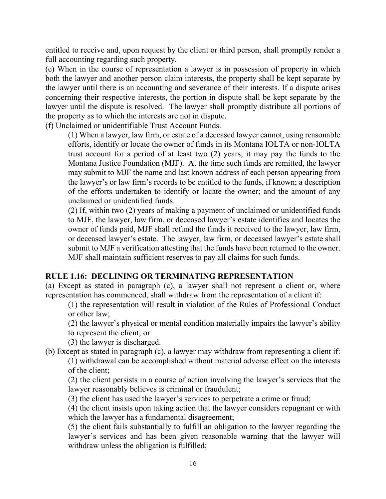entitled to receive and, upon request by the client or third person, shall promptly render a full accounting regarding such property.

(e) When in the course of representation a lawyer is in possession of property in which both the lawyer and another person claim interests, the property shall be kept separate by the lawyer until there is an accounting and severance of their interests. If a dispute arises concerning their respective interests, the portion in dispute shall be kept separate by the lawyer until the dispute is resolved. The lawyer shall promptly distribute all portions of the property as to which the interests are not in dispute.

(f) Unclaimed or unidentifiable Trust Account Funds.

(1) When a lawyer, law firm, or estate of a deceased lawyer cannot, using reasonable efforts, identify or locate the owner of funds in its Montana IOLTA or non-IOLTA trust account for a period of at least two (2) years, it may pay the funds to the Montana Justice Foundation (MJF). At the time such funds are remitted, the lawyer may submit to MJF the name and last known address of each person appearing from the lawyer's or law firm's records to be entitled to the funds, if known; a description of the efforts undertaken to identify or locate the owner; and the amount of any unclaimed or unidentified funds.

(2) If, within two (2) years of making a payment of unclaimed or unidentified funds to MJF, the lawyer, law firm, or deceased lawyer's estate identifies and locates the owner of funds paid, MJF shall refund the funds it received to the lawyer, law firm, or deceased lawyer's estate. The lawyer, law firm, or deceased lawyer's estate shall submit to MJF a verification attesting that the funds have been returned to the owner. MJF shall maintain sufficient reserves to pay all claims for such funds.

### **RULE 1.16: DECLINING OR TERMINATING REPRESENTATION**

(a) Except as stated in paragraph (c), a lawyer shall not represent a client or, where representation has commenced, shall withdraw from the representation of a client if:

(1) the representation will result in violation of the Rules of Professional Conduct or other law;

(2) the lawyer's physical or mental condition materially impairs the lawyer's ability to represent the client; or

(3) the lawyer is discharged.

(b) Except as stated in paragraph (c), a lawyer may withdraw from representing a client if: (1) withdrawal can be accomplished without material adverse effect on the interests

of the client;

(2) the client persists in a course of action involving the lawyer's services that the lawyer reasonably believes is criminal or fraudulent;

(3) the client has used the lawyer's services to perpetrate a crime or fraud;

(4) the client insists upon taking action that the lawyer considers repugnant or with which the lawyer has a fundamental disagreement;

(5) the client fails substantially to fulfill an obligation to the lawyer regarding the lawyer's services and has been given reasonable warning that the lawyer will withdraw unless the obligation is fulfilled;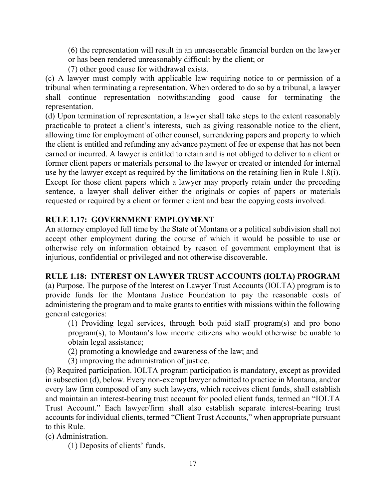(6) the representation will result in an unreasonable financial burden on the lawyer or has been rendered unreasonably difficult by the client; or

(7) other good cause for withdrawal exists.

(c) A lawyer must comply with applicable law requiring notice to or permission of a tribunal when terminating a representation. When ordered to do so by a tribunal, a lawyer shall continue representation notwithstanding good cause for terminating the representation.

(d) Upon termination of representation, a lawyer shall take steps to the extent reasonably practicable to protect a client's interests, such as giving reasonable notice to the client, allowing time for employment of other counsel, surrendering papers and property to which the client is entitled and refunding any advance payment of fee or expense that has not been earned or incurred. A lawyer is entitled to retain and is not obliged to deliver to a client or former client papers or materials personal to the lawyer or created or intended for internal use by the lawyer except as required by the limitations on the retaining lien in Rule 1.8(i). Except for those client papers which a lawyer may properly retain under the preceding sentence, a lawyer shall deliver either the originals or copies of papers or materials requested or required by a client or former client and bear the copying costs involved.

## **RULE 1.17: GOVERNMENT EMPLOYMENT**

An attorney employed full time by the State of Montana or a political subdivision shall not accept other employment during the course of which it would be possible to use or otherwise rely on information obtained by reason of government employment that is injurious, confidential or privileged and not otherwise discoverable.

# **RULE 1.18: INTEREST ON LAWYER TRUST ACCOUNTS (IOLTA) PROGRAM**

(a) Purpose. The purpose of the Interest on Lawyer Trust Accounts (IOLTA) program is to provide funds for the Montana Justice Foundation to pay the reasonable costs of administering the program and to make grants to entities with missions within the following general categories:

(1) Providing legal services, through both paid staff program(s) and pro bono program(s), to Montana's low income citizens who would otherwise be unable to obtain legal assistance;

- (2) promoting a knowledge and awareness of the law; and
- (3) improving the administration of justice.

(b) Required participation. IOLTA program participation is mandatory, except as provided in subsection (d), below. Every non-exempt lawyer admitted to practice in Montana, and/or every law firm composed of any such lawyers, which receives client funds, shall establish and maintain an interest-bearing trust account for pooled client funds, termed an "IOLTA Trust Account." Each lawyer/firm shall also establish separate interest-bearing trust accounts for individual clients, termed "Client Trust Accounts," when appropriate pursuant to this Rule.

(c) Administration.

(1) Deposits of clients' funds.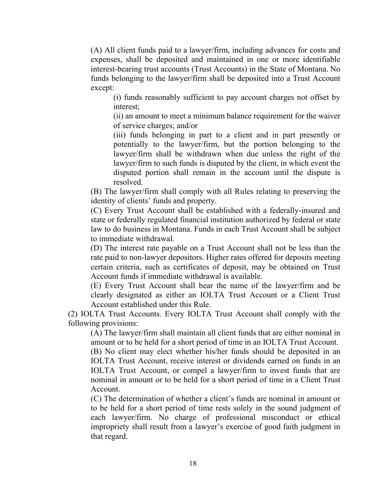(A) All client funds paid to a lawyer/firm, including advances for costs and expenses, shall be deposited and maintained in one or more identifiable interest-bearing trust accounts (Trust Accounts) in the State of Montana. No funds belonging to the lawyer/firm shall be deposited into a Trust Account except:

(i) funds reasonably sufficient to pay account charges not offset by interest;

(ii) an amount to meet a minimum balance requirement for the waiver of service charges; and/or

(iii) funds belonging in part to a client and in part presently or potentially to the lawyer/firm, but the portion belonging to the lawyer/firm shall be withdrawn when due unless the right of the lawyer/firm to such funds is disputed by the client, in which event the disputed portion shall remain in the account until the dispute is resolved.

(B) The lawyer/firm shall comply with all Rules relating to preserving the identity of clients' funds and property.

(C) Every Trust Account shall be established with a federally-insured and state or federally regulated financial institution authorized by federal or state law to do business in Montana. Funds in each Trust Account shall be subject to immediate withdrawal.

(D) The interest rate payable on a Trust Account shall not be less than the rate paid to non-lawyer depositors. Higher rates offered for deposits meeting certain criteria, such as certificates of deposit, may be obtained on Trust Account funds if immediate withdrawal is available.

(E) Every Trust Account shall bear the name of the lawyer/firm and be clearly designated as either an IOLTA Trust Account or a Client Trust Account established under this Rule.

(2) IOLTA Trust Accounts. Every IOLTA Trust Account shall comply with the following provisions:

(A) The lawyer/firm shall maintain all client funds that are either nominal in amount or to be held for a short period of time in an IOLTA Trust Account.

(B) No client may elect whether his/her funds should be deposited in an IOLTA Trust Account, receive interest or dividends earned on funds in an IOLTA Trust Account, or compel a lawyer/firm to invest funds that are nominal in amount or to be held for a short period of time in a Client Trust Account.

(C) The determination of whether a client's funds are nominal in amount or to be held for a short period of time rests solely in the sound judgment of each lawyer/firm. No charge of professional misconduct or ethical impropriety shall result from a lawyer's exercise of good faith judgment in that regard.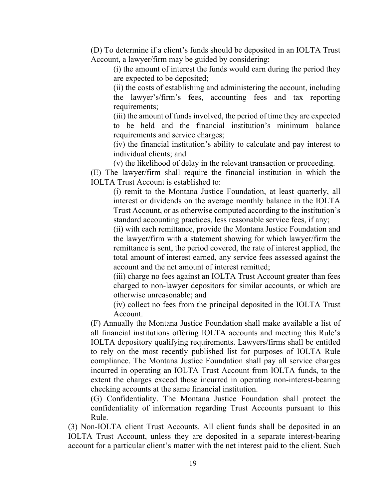(D) To determine if a client's funds should be deposited in an IOLTA Trust Account, a lawyer/firm may be guided by considering:

(i) the amount of interest the funds would earn during the period they are expected to be deposited;

(ii) the costs of establishing and administering the account, including the lawyer's/firm's fees, accounting fees and tax reporting requirements;

(iii) the amount of funds involved, the period of time they are expected to be held and the financial institution's minimum balance requirements and service charges;

(iv) the financial institution's ability to calculate and pay interest to individual clients; and

(v) the likelihood of delay in the relevant transaction or proceeding.

(E) The lawyer/firm shall require the financial institution in which the IOLTA Trust Account is established to:

(i) remit to the Montana Justice Foundation, at least quarterly, all interest or dividends on the average monthly balance in the IOLTA Trust Account, or as otherwise computed according to the institution's standard accounting practices, less reasonable service fees, if any;

(ii) with each remittance, provide the Montana Justice Foundation and the lawyer/firm with a statement showing for which lawyer/firm the remittance is sent, the period covered, the rate of interest applied, the total amount of interest earned, any service fees assessed against the account and the net amount of interest remitted;

(iii) charge no fees against an IOLTA Trust Account greater than fees charged to non-lawyer depositors for similar accounts, or which are otherwise unreasonable; and

(iv) collect no fees from the principal deposited in the IOLTA Trust Account.

(F) Annually the Montana Justice Foundation shall make available a list of all financial institutions offering IOLTA accounts and meeting this Rule's IOLTA depository qualifying requirements. Lawyers/firms shall be entitled to rely on the most recently published list for purposes of IOLTA Rule compliance. The Montana Justice Foundation shall pay all service charges incurred in operating an IOLTA Trust Account from IOLTA funds, to the extent the charges exceed those incurred in operating non-interest-bearing checking accounts at the same financial institution.

(G) Confidentiality. The Montana Justice Foundation shall protect the confidentiality of information regarding Trust Accounts pursuant to this Rule.

(3) Non-IOLTA client Trust Accounts. All client funds shall be deposited in an IOLTA Trust Account, unless they are deposited in a separate interest-bearing account for a particular client's matter with the net interest paid to the client. Such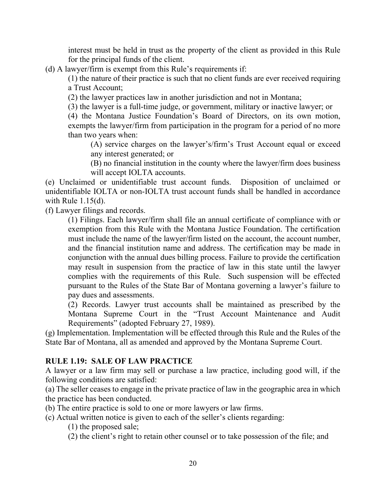interest must be held in trust as the property of the client as provided in this Rule for the principal funds of the client.

(d) A lawyer/firm is exempt from this Rule's requirements if:

(1) the nature of their practice is such that no client funds are ever received requiring a Trust Account;

(2) the lawyer practices law in another jurisdiction and not in Montana;

(3) the lawyer is a full-time judge, or government, military or inactive lawyer; or

(4) the Montana Justice Foundation's Board of Directors, on its own motion, exempts the lawyer/firm from participation in the program for a period of no more than two years when:

(A) service charges on the lawyer's/firm's Trust Account equal or exceed any interest generated; or

(B) no financial institution in the county where the lawyer/firm does business will accept IOLTA accounts.

(e) Unclaimed or unidentifiable trust account funds. Disposition of unclaimed or unidentifiable IOLTA or non-IOLTA trust account funds shall be handled in accordance with Rule  $1.15(d)$ .

(f) Lawyer filings and records.

(1) Filings. Each lawyer/firm shall file an annual certificate of compliance with or exemption from this Rule with the Montana Justice Foundation. The certification must include the name of the lawyer/firm listed on the account, the account number, and the financial institution name and address. The certification may be made in conjunction with the annual dues billing process. Failure to provide the certification may result in suspension from the practice of law in this state until the lawyer complies with the requirements of this Rule. Such suspension will be effected pursuant to the Rules of the State Bar of Montana governing a lawyer's failure to pay dues and assessments.

(2) Records. Lawyer trust accounts shall be maintained as prescribed by the Montana Supreme Court in the "Trust Account Maintenance and Audit Requirements" (adopted February 27, 1989).

(g) Implementation. Implementation will be effected through this Rule and the Rules of the State Bar of Montana, all as amended and approved by the Montana Supreme Court.

### **RULE 1.19: SALE OF LAW PRACTICE**

A lawyer or a law firm may sell or purchase a law practice, including good will, if the following conditions are satisfied:

(a) The seller ceases to engage in the private practice of law in the geographic area in which the practice has been conducted.

(b) The entire practice is sold to one or more lawyers or law firms.

(c) Actual written notice is given to each of the seller's clients regarding:

- (1) the proposed sale;
- (2) the client's right to retain other counsel or to take possession of the file; and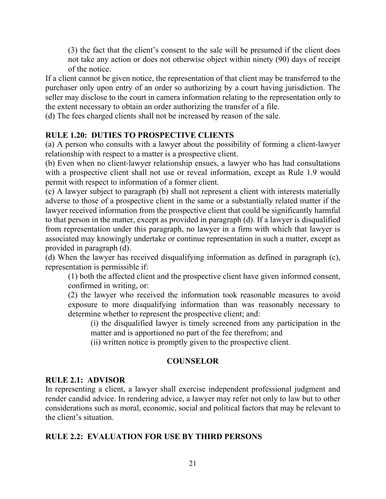(3) the fact that the client's consent to the sale will be presumed if the client does not take any action or does not otherwise object within ninety (90) days of receipt of the notice.

If a client cannot be given notice, the representation of that client may be transferred to the purchaser only upon entry of an order so authorizing by a court having jurisdiction. The seller may disclose to the court in camera information relating to the representation only to the extent necessary to obtain an order authorizing the transfer of a file.

(d) The fees charged clients shall not be increased by reason of the sale.

#### **RULE 1.20: DUTIES TO PROSPECTIVE CLIENTS**

(a) A person who consults with a lawyer about the possibility of forming a client-lawyer relationship with respect to a matter is a prospective client.

(b) Even when no client-lawyer relationship ensues, a lawyer who has had consultations with a prospective client shall not use or reveal information, except as Rule 1.9 would permit with respect to information of a former client.

(c) A lawyer subject to paragraph (b) shall not represent a client with interests materially adverse to those of a prospective client in the same or a substantially related matter if the lawyer received information from the prospective client that could be significantly harmful to that person in the matter, except as provided in paragraph (d). If a lawyer is disqualified from representation under this paragraph, no lawyer in a firm with which that lawyer is associated may knowingly undertake or continue representation in such a matter, except as provided in paragraph (d).

(d) When the lawyer has received disqualifying information as defined in paragraph (c), representation is permissible if:

(1) both the affected client and the prospective client have given informed consent, confirmed in writing, or:

(2) the lawyer who received the information took reasonable measures to avoid exposure to more disqualifying information than was reasonably necessary to determine whether to represent the prospective client; and:

(i) the disqualified lawyer is timely screened from any participation in the matter and is apportioned no part of the fee therefrom; and

(ii) written notice is promptly given to the prospective client.

### **COUNSELOR**

#### **RULE 2.1: ADVISOR**

In representing a client, a lawyer shall exercise independent professional judgment and render candid advice. In rendering advice, a lawyer may refer not only to law but to other considerations such as moral, economic, social and political factors that may be relevant to the client's situation.

### **RULE 2.2: EVALUATION FOR USE BY THIRD PERSONS**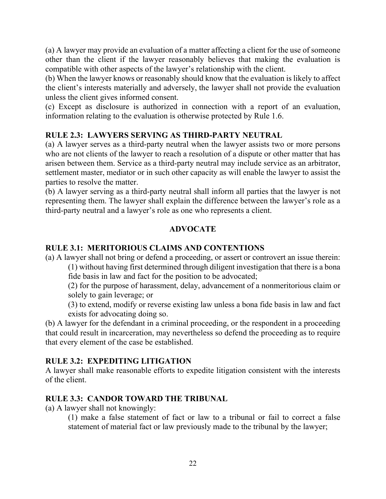(a) A lawyer may provide an evaluation of a matter affecting a client for the use of someone other than the client if the lawyer reasonably believes that making the evaluation is compatible with other aspects of the lawyer's relationship with the client.

(b) When the lawyer knows or reasonably should know that the evaluation is likely to affect the client's interests materially and adversely, the lawyer shall not provide the evaluation unless the client gives informed consent.

(c) Except as disclosure is authorized in connection with a report of an evaluation, information relating to the evaluation is otherwise protected by Rule 1.6.

### **RULE 2.3: LAWYERS SERVING AS THIRD-PARTY NEUTRAL**

(a) A lawyer serves as a third-party neutral when the lawyer assists two or more persons who are not clients of the lawyer to reach a resolution of a dispute or other matter that has arisen between them. Service as a third-party neutral may include service as an arbitrator, settlement master, mediator or in such other capacity as will enable the lawyer to assist the parties to resolve the matter.

(b) A lawyer serving as a third-party neutral shall inform all parties that the lawyer is not representing them. The lawyer shall explain the difference between the lawyer's role as a third-party neutral and a lawyer's role as one who represents a client.

### **ADVOCATE**

### **RULE 3.1: MERITORIOUS CLAIMS AND CONTENTIONS**

(a) A lawyer shall not bring or defend a proceeding, or assert or controvert an issue therein:

(1) without having first determined through diligent investigation that there is a bona fide basis in law and fact for the position to be advocated;

(2) for the purpose of harassment, delay, advancement of a nonmeritorious claim or solely to gain leverage; or

(3) to extend, modify or reverse existing law unless a bona fide basis in law and fact exists for advocating doing so.

(b) A lawyer for the defendant in a criminal proceeding, or the respondent in a proceeding that could result in incarceration, may nevertheless so defend the proceeding as to require that every element of the case be established.

### **RULE 3.2: EXPEDITING LITIGATION**

A lawyer shall make reasonable efforts to expedite litigation consistent with the interests of the client.

### **RULE 3.3: CANDOR TOWARD THE TRIBUNAL**

(a) A lawyer shall not knowingly:

(1) make a false statement of fact or law to a tribunal or fail to correct a false statement of material fact or law previously made to the tribunal by the lawyer;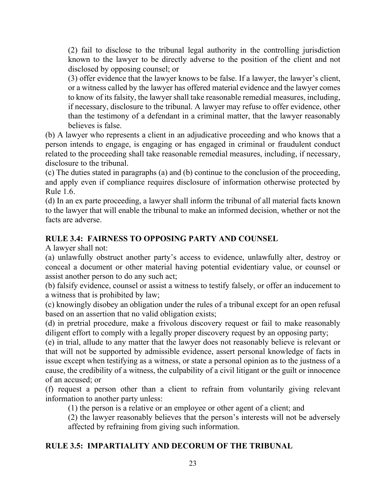(2) fail to disclose to the tribunal legal authority in the controlling jurisdiction known to the lawyer to be directly adverse to the position of the client and not disclosed by opposing counsel; or

(3) offer evidence that the lawyer knows to be false. If a lawyer, the lawyer's client, or a witness called by the lawyer has offered material evidence and the lawyer comes to know of its falsity, the lawyer shall take reasonable remedial measures, including, if necessary, disclosure to the tribunal. A lawyer may refuse to offer evidence, other than the testimony of a defendant in a criminal matter, that the lawyer reasonably believes is false.

(b) A lawyer who represents a client in an adjudicative proceeding and who knows that a person intends to engage, is engaging or has engaged in criminal or fraudulent conduct related to the proceeding shall take reasonable remedial measures, including, if necessary, disclosure to the tribunal.

(c) The duties stated in paragraphs (a) and (b) continue to the conclusion of the proceeding, and apply even if compliance requires disclosure of information otherwise protected by Rule 1.6.

(d) In an ex parte proceeding, a lawyer shall inform the tribunal of all material facts known to the lawyer that will enable the tribunal to make an informed decision, whether or not the facts are adverse.

## **RULE 3.4: FAIRNESS TO OPPOSING PARTY AND COUNSEL**

A lawyer shall not:

(a) unlawfully obstruct another party's access to evidence, unlawfully alter, destroy or conceal a document or other material having potential evidentiary value, or counsel or assist another person to do any such act;

(b) falsify evidence, counsel or assist a witness to testify falsely, or offer an inducement to a witness that is prohibited by law;

(c) knowingly disobey an obligation under the rules of a tribunal except for an open refusal based on an assertion that no valid obligation exists;

(d) in pretrial procedure, make a frivolous discovery request or fail to make reasonably diligent effort to comply with a legally proper discovery request by an opposing party;

(e) in trial, allude to any matter that the lawyer does not reasonably believe is relevant or that will not be supported by admissible evidence, assert personal knowledge of facts in issue except when testifying as a witness, or state a personal opinion as to the justness of a cause, the credibility of a witness, the culpability of a civil litigant or the guilt or innocence of an accused; or

(f) request a person other than a client to refrain from voluntarily giving relevant information to another party unless:

(1) the person is a relative or an employee or other agent of a client; and

(2) the lawyer reasonably believes that the person's interests will not be adversely affected by refraining from giving such information.

### **RULE 3.5: IMPARTIALITY AND DECORUM OF THE TRIBUNAL**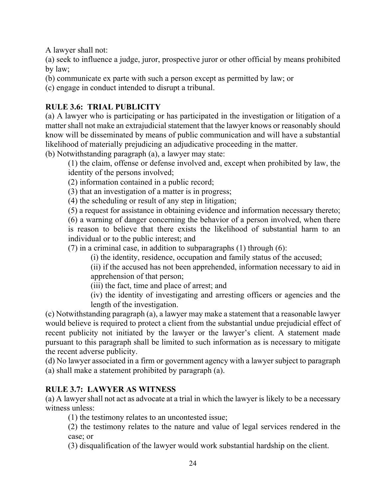A lawyer shall not:

(a) seek to influence a judge, juror, prospective juror or other official by means prohibited by law;

(b) communicate ex parte with such a person except as permitted by law; or

(c) engage in conduct intended to disrupt a tribunal.

## **RULE 3.6: TRIAL PUBLICITY**

(a) A lawyer who is participating or has participated in the investigation or litigation of a matter shall not make an extrajudicial statement that the lawyer knows or reasonably should know will be disseminated by means of public communication and will have a substantial likelihood of materially prejudicing an adjudicative proceeding in the matter.

(b) Notwithstanding paragraph (a), a lawyer may state:

(1) the claim, offense or defense involved and, except when prohibited by law, the identity of the persons involved;

- (2) information contained in a public record;
- (3) that an investigation of a matter is in progress;

(4) the scheduling or result of any step in litigation;

(5) a request for assistance in obtaining evidence and information necessary thereto;

(6) a warning of danger concerning the behavior of a person involved, when there is reason to believe that there exists the likelihood of substantial harm to an individual or to the public interest; and

(7) in a criminal case, in addition to subparagraphs (1) through (6):

(i) the identity, residence, occupation and family status of the accused;

(ii) if the accused has not been apprehended, information necessary to aid in apprehension of that person;

(iii) the fact, time and place of arrest; and

(iv) the identity of investigating and arresting officers or agencies and the length of the investigation.

(c) Notwithstanding paragraph (a), a lawyer may make a statement that a reasonable lawyer would believe is required to protect a client from the substantial undue prejudicial effect of recent publicity not initiated by the lawyer or the lawyer's client. A statement made pursuant to this paragraph shall be limited to such information as is necessary to mitigate the recent adverse publicity.

(d) No lawyer associated in a firm or government agency with a lawyer subject to paragraph (a) shall make a statement prohibited by paragraph (a).

### **RULE 3.7: LAWYER AS WITNESS**

(a) A lawyer shall not act as advocate at a trial in which the lawyer is likely to be a necessary witness unless:

(1) the testimony relates to an uncontested issue;

(2) the testimony relates to the nature and value of legal services rendered in the case; or

(3) disqualification of the lawyer would work substantial hardship on the client.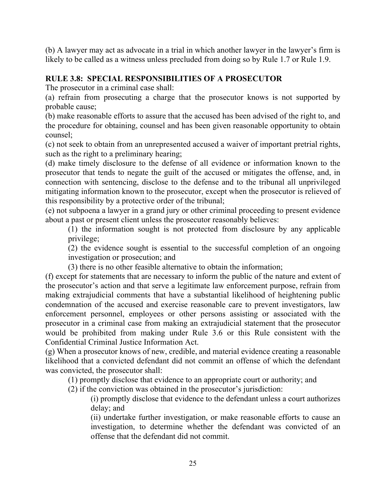(b) A lawyer may act as advocate in a trial in which another lawyer in the lawyer's firm is likely to be called as a witness unless precluded from doing so by Rule 1.7 or Rule 1.9.

### **RULE 3.8: SPECIAL RESPONSIBILITIES OF A PROSECUTOR**

The prosecutor in a criminal case shall:

(a) refrain from prosecuting a charge that the prosecutor knows is not supported by probable cause;

(b) make reasonable efforts to assure that the accused has been advised of the right to, and the procedure for obtaining, counsel and has been given reasonable opportunity to obtain counsel;

(c) not seek to obtain from an unrepresented accused a waiver of important pretrial rights, such as the right to a preliminary hearing;

(d) make timely disclosure to the defense of all evidence or information known to the prosecutor that tends to negate the guilt of the accused or mitigates the offense, and, in connection with sentencing, disclose to the defense and to the tribunal all unprivileged mitigating information known to the prosecutor, except when the prosecutor is relieved of this responsibility by a protective order of the tribunal;

(e) not subpoena a lawyer in a grand jury or other criminal proceeding to present evidence about a past or present client unless the prosecutor reasonably believes:

(1) the information sought is not protected from disclosure by any applicable privilege;

(2) the evidence sought is essential to the successful completion of an ongoing investigation or prosecution; and

(3) there is no other feasible alternative to obtain the information;

(f) except for statements that are necessary to inform the public of the nature and extent of the prosecutor's action and that serve a legitimate law enforcement purpose, refrain from making extrajudicial comments that have a substantial likelihood of heightening public condemnation of the accused and exercise reasonable care to prevent investigators, law enforcement personnel, employees or other persons assisting or associated with the prosecutor in a criminal case from making an extrajudicial statement that the prosecutor would be prohibited from making under Rule 3.6 or this Rule consistent with the Confidential Criminal Justice Information Act.

(g) When a prosecutor knows of new, credible, and material evidence creating a reasonable likelihood that a convicted defendant did not commit an offense of which the defendant was convicted, the prosecutor shall:

(1) promptly disclose that evidence to an appropriate court or authority; and

(2) if the conviction was obtained in the prosecutor's jurisdiction:

(i) promptly disclose that evidence to the defendant unless a court authorizes delay; and

(ii) undertake further investigation, or make reasonable efforts to cause an investigation, to determine whether the defendant was convicted of an offense that the defendant did not commit.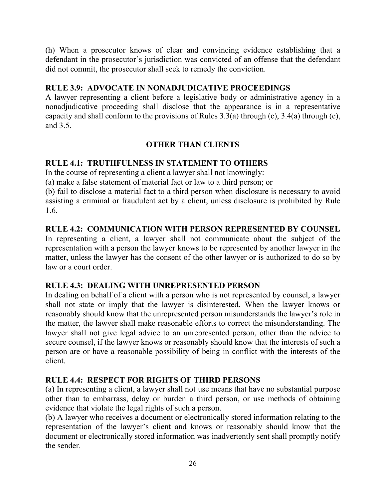(h) When a prosecutor knows of clear and convincing evidence establishing that a defendant in the prosecutor's jurisdiction was convicted of an offense that the defendant did not commit, the prosecutor shall seek to remedy the conviction.

#### **RULE 3.9: ADVOCATE IN NONADJUDICATIVE PROCEEDINGS**

A lawyer representing a client before a legislative body or administrative agency in a nonadjudicative proceeding shall disclose that the appearance is in a representative capacity and shall conform to the provisions of Rules 3.3(a) through (c), 3.4(a) through (c), and 3.5.

### **OTHER THAN CLIENTS**

#### **RULE 4.1: TRUTHFULNESS IN STATEMENT TO OTHERS**

In the course of representing a client a lawyer shall not knowingly:

(a) make a false statement of material fact or law to a third person; or

(b) fail to disclose a material fact to a third person when disclosure is necessary to avoid assisting a criminal or fraudulent act by a client, unless disclosure is prohibited by Rule 1.6.

#### **RULE 4.2: COMMUNICATION WITH PERSON REPRESENTED BY COUNSEL**

In representing a client, a lawyer shall not communicate about the subject of the representation with a person the lawyer knows to be represented by another lawyer in the matter, unless the lawyer has the consent of the other lawyer or is authorized to do so by law or a court order.

### **RULE 4.3: DEALING WITH UNREPRESENTED PERSON**

In dealing on behalf of a client with a person who is not represented by counsel, a lawyer shall not state or imply that the lawyer is disinterested. When the lawyer knows or reasonably should know that the unrepresented person misunderstands the lawyer's role in the matter, the lawyer shall make reasonable efforts to correct the misunderstanding. The lawyer shall not give legal advice to an unrepresented person, other than the advice to secure counsel, if the lawyer knows or reasonably should know that the interests of such a person are or have a reasonable possibility of being in conflict with the interests of the client.

#### **RULE 4.4: RESPECT FOR RIGHTS OF THIRD PERSONS**

(a) In representing a client, a lawyer shall not use means that have no substantial purpose other than to embarrass, delay or burden a third person, or use methods of obtaining evidence that violate the legal rights of such a person.

(b) A lawyer who receives a document or electronically stored information relating to the representation of the lawyer's client and knows or reasonably should know that the document or electronically stored information was inadvertently sent shall promptly notify the sender.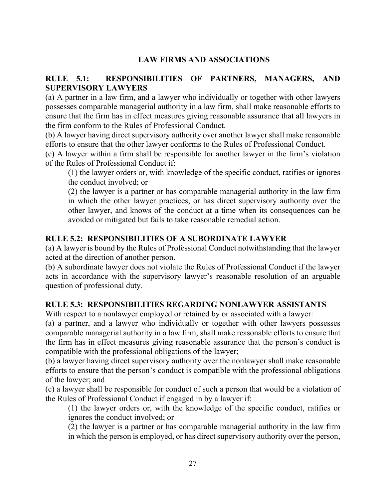## **LAW FIRMS AND ASSOCIATIONS**

### **RULE 5.1: RESPONSIBILITIES OF PARTNERS, MANAGERS, AND SUPERVISORY LAWYERS**

(a) A partner in a law firm, and a lawyer who individually or together with other lawyers possesses comparable managerial authority in a law firm, shall make reasonable efforts to ensure that the firm has in effect measures giving reasonable assurance that all lawyers in the firm conform to the Rules of Professional Conduct.

(b) A lawyer having direct supervisory authority over another lawyer shall make reasonable efforts to ensure that the other lawyer conforms to the Rules of Professional Conduct.

(c) A lawyer within a firm shall be responsible for another lawyer in the firm's violation of the Rules of Professional Conduct if:

(1) the lawyer orders or, with knowledge of the specific conduct, ratifies or ignores the conduct involved; or

(2) the lawyer is a partner or has comparable managerial authority in the law firm in which the other lawyer practices, or has direct supervisory authority over the other lawyer, and knows of the conduct at a time when its consequences can be avoided or mitigated but fails to take reasonable remedial action.

#### **RULE 5.2: RESPONSIBILITIES OF A SUBORDINATE LAWYER**

(a) A lawyer is bound by the Rules of Professional Conduct notwithstanding that the lawyer acted at the direction of another person.

(b) A subordinate lawyer does not violate the Rules of Professional Conduct if the lawyer acts in accordance with the supervisory lawyer's reasonable resolution of an arguable question of professional duty.

#### **RULE 5.3: RESPONSIBILITIES REGARDING NONLAWYER ASSISTANTS**

With respect to a nonlawyer employed or retained by or associated with a lawyer:

(a) a partner, and a lawyer who individually or together with other lawyers possesses comparable managerial authority in a law firm, shall make reasonable efforts to ensure that the firm has in effect measures giving reasonable assurance that the person's conduct is compatible with the professional obligations of the lawyer;

(b) a lawyer having direct supervisory authority over the nonlawyer shall make reasonable efforts to ensure that the person's conduct is compatible with the professional obligations of the lawyer; and

(c) a lawyer shall be responsible for conduct of such a person that would be a violation of the Rules of Professional Conduct if engaged in by a lawyer if:

(1) the lawyer orders or, with the knowledge of the specific conduct, ratifies or ignores the conduct involved; or

(2) the lawyer is a partner or has comparable managerial authority in the law firm in which the person is employed, or has direct supervisory authority over the person,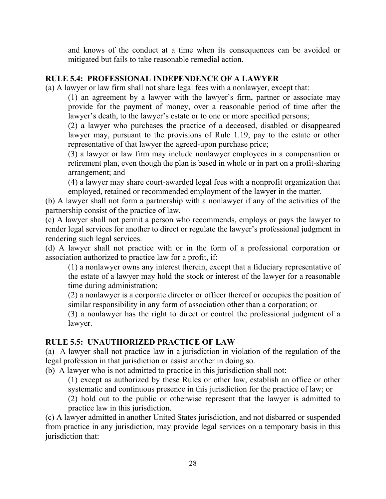and knows of the conduct at a time when its consequences can be avoided or mitigated but fails to take reasonable remedial action.

### **RULE 5.4: PROFESSIONAL INDEPENDENCE OF A LAWYER**

(a) A lawyer or law firm shall not share legal fees with a nonlawyer, except that:

(1) an agreement by a lawyer with the lawyer's firm, partner or associate may provide for the payment of money, over a reasonable period of time after the lawyer's death, to the lawyer's estate or to one or more specified persons;

(2) a lawyer who purchases the practice of a deceased, disabled or disappeared lawyer may, pursuant to the provisions of Rule 1.19, pay to the estate or other representative of that lawyer the agreed-upon purchase price;

(3) a lawyer or law firm may include nonlawyer employees in a compensation or retirement plan, even though the plan is based in whole or in part on a profit-sharing arrangement; and

(4) a lawyer may share court-awarded legal fees with a nonprofit organization that employed, retained or recommended employment of the lawyer in the matter.

(b) A lawyer shall not form a partnership with a nonlawyer if any of the activities of the partnership consist of the practice of law.

(c) A lawyer shall not permit a person who recommends, employs or pays the lawyer to render legal services for another to direct or regulate the lawyer's professional judgment in rendering such legal services.

(d) A lawyer shall not practice with or in the form of a professional corporation or association authorized to practice law for a profit, if:

(1) a nonlawyer owns any interest therein, except that a fiduciary representative of the estate of a lawyer may hold the stock or interest of the lawyer for a reasonable time during administration;

(2) a nonlawyer is a corporate director or officer thereof or occupies the position of similar responsibility in any form of association other than a corporation; or

(3) a nonlawyer has the right to direct or control the professional judgment of a lawyer.

### **RULE 5.5: UNAUTHORIZED PRACTICE OF LAW**

(a) A lawyer shall not practice law in a jurisdiction in violation of the regulation of the legal profession in that jurisdiction or assist another in doing so.

(b) A lawyer who is not admitted to practice in this jurisdiction shall not:

(1) except as authorized by these Rules or other law, establish an office or other systematic and continuous presence in this jurisdiction for the practice of law; or

(2) hold out to the public or otherwise represent that the lawyer is admitted to practice law in this jurisdiction.

(c) A lawyer admitted in another United States jurisdiction, and not disbarred or suspended from practice in any jurisdiction, may provide legal services on a temporary basis in this jurisdiction that: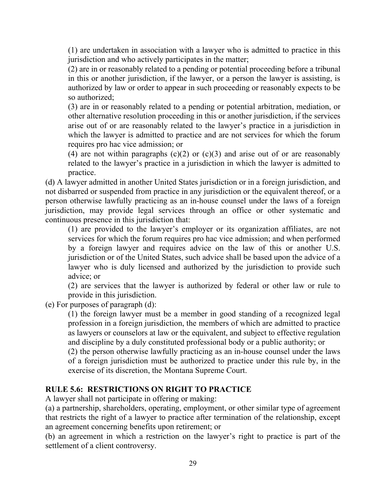(1) are undertaken in association with a lawyer who is admitted to practice in this jurisdiction and who actively participates in the matter;

(2) are in or reasonably related to a pending or potential proceeding before a tribunal in this or another jurisdiction, if the lawyer, or a person the lawyer is assisting, is authorized by law or order to appear in such proceeding or reasonably expects to be so authorized;

(3) are in or reasonably related to a pending or potential arbitration, mediation, or other alternative resolution proceeding in this or another jurisdiction, if the services arise out of or are reasonably related to the lawyer's practice in a jurisdiction in which the lawyer is admitted to practice and are not services for which the forum requires pro hac vice admission; or

(4) are not within paragraphs  $(c)(2)$  or  $(c)(3)$  and arise out of or are reasonably related to the lawyer's practice in a jurisdiction in which the lawyer is admitted to practice.

(d) A lawyer admitted in another United States jurisdiction or in a foreign jurisdiction, and not disbarred or suspended from practice in any jurisdiction or the equivalent thereof, or a person otherwise lawfully practicing as an in-house counsel under the laws of a foreign jurisdiction, may provide legal services through an office or other systematic and continuous presence in this jurisdiction that:

(1) are provided to the lawyer's employer or its organization affiliates, are not services for which the forum requires pro hac vice admission; and when performed by a foreign lawyer and requires advice on the law of this or another U.S. jurisdiction or of the United States, such advice shall be based upon the advice of a lawyer who is duly licensed and authorized by the jurisdiction to provide such advice; or

(2) are services that the lawyer is authorized by federal or other law or rule to provide in this jurisdiction.

(e) For purposes of paragraph (d):

(1) the foreign lawyer must be a member in good standing of a recognized legal profession in a foreign jurisdiction, the members of which are admitted to practice as lawyers or counselors at law or the equivalent, and subject to effective regulation and discipline by a duly constituted professional body or a public authority; or

(2) the person otherwise lawfully practicing as an in-house counsel under the laws of a foreign jurisdiction must be authorized to practice under this rule by, in the exercise of its discretion, the Montana Supreme Court.

### **RULE 5.6: RESTRICTIONS ON RIGHT TO PRACTICE**

A lawyer shall not participate in offering or making:

(a) a partnership, shareholders, operating, employment, or other similar type of agreement that restricts the right of a lawyer to practice after termination of the relationship, except an agreement concerning benefits upon retirement; or

(b) an agreement in which a restriction on the lawyer's right to practice is part of the settlement of a client controversy.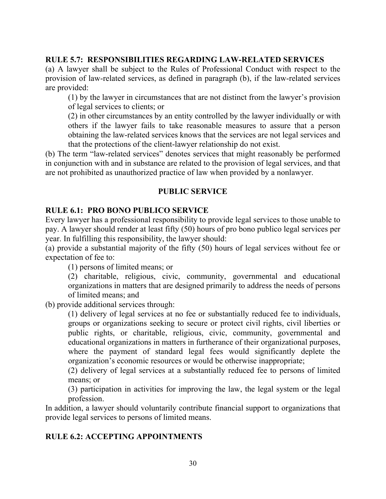### **RULE 5.7: RESPONSIBILITIES REGARDING LAW-RELATED SERVICES**

(a) A lawyer shall be subject to the Rules of Professional Conduct with respect to the provision of law-related services, as defined in paragraph (b), if the law-related services are provided:

(1) by the lawyer in circumstances that are not distinct from the lawyer's provision of legal services to clients; or

(2) in other circumstances by an entity controlled by the lawyer individually or with others if the lawyer fails to take reasonable measures to assure that a person obtaining the law-related services knows that the services are not legal services and that the protections of the client-lawyer relationship do not exist.

(b) The term "law-related services" denotes services that might reasonably be performed in conjunction with and in substance are related to the provision of legal services, and that are not prohibited as unauthorized practice of law when provided by a nonlawyer.

### **PUBLIC SERVICE**

### **RULE 6.1: PRO BONO PUBLICO SERVICE**

Every lawyer has a professional responsibility to provide legal services to those unable to pay. A lawyer should render at least fifty (50) hours of pro bono publico legal services per year. In fulfilling this responsibility, the lawyer should:

(a) provide a substantial majority of the fifty (50) hours of legal services without fee or expectation of fee to:

(1) persons of limited means; or

(2) charitable, religious, civic, community, governmental and educational organizations in matters that are designed primarily to address the needs of persons of limited means; and

(b) provide additional services through:

(1) delivery of legal services at no fee or substantially reduced fee to individuals, groups or organizations seeking to secure or protect civil rights, civil liberties or public rights, or charitable, religious, civic, community, governmental and educational organizations in matters in furtherance of their organizational purposes, where the payment of standard legal fees would significantly deplete the organization's economic resources or would be otherwise inappropriate;

(2) delivery of legal services at a substantially reduced fee to persons of limited means; or

(3) participation in activities for improving the law, the legal system or the legal profession.

In addition, a lawyer should voluntarily contribute financial support to organizations that provide legal services to persons of limited means.

### **RULE 6.2: ACCEPTING APPOINTMENTS**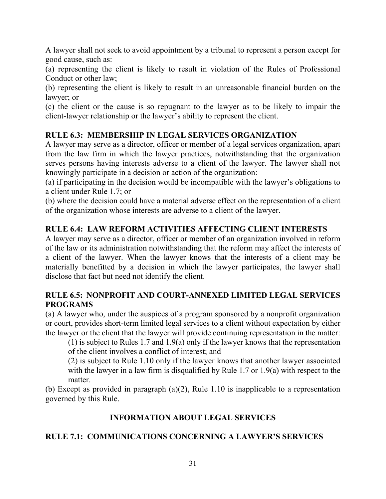A lawyer shall not seek to avoid appointment by a tribunal to represent a person except for good cause, such as:

(a) representing the client is likely to result in violation of the Rules of Professional Conduct or other law;

(b) representing the client is likely to result in an unreasonable financial burden on the lawyer; or

(c) the client or the cause is so repugnant to the lawyer as to be likely to impair the client-lawyer relationship or the lawyer's ability to represent the client.

## **RULE 6.3: MEMBERSHIP IN LEGAL SERVICES ORGANIZATION**

A lawyer may serve as a director, officer or member of a legal services organization, apart from the law firm in which the lawyer practices, notwithstanding that the organization serves persons having interests adverse to a client of the lawyer. The lawyer shall not knowingly participate in a decision or action of the organization:

(a) if participating in the decision would be incompatible with the lawyer's obligations to a client under Rule 1.7; or

(b) where the decision could have a material adverse effect on the representation of a client of the organization whose interests are adverse to a client of the lawyer.

## **RULE 6.4: LAW REFORM ACTIVITIES AFFECTING CLIENT INTERESTS**

A lawyer may serve as a director, officer or member of an organization involved in reform of the law or its administration notwithstanding that the reform may affect the interests of a client of the lawyer. When the lawyer knows that the interests of a client may be materially benefitted by a decision in which the lawyer participates, the lawyer shall disclose that fact but need not identify the client.

#### **RULE 6.5: NONPROFIT AND COURT-ANNEXED LIMITED LEGAL SERVICES PROGRAMS**

(a) A lawyer who, under the auspices of a program sponsored by a nonprofit organization or court, provides short-term limited legal services to a client without expectation by either the lawyer or the client that the lawyer will provide continuing representation in the matter:

(1) is subject to Rules 1.7 and 1.9(a) only if the lawyer knows that the representation of the client involves a conflict of interest; and

(2) is subject to Rule 1.10 only if the lawyer knows that another lawyer associated with the lawyer in a law firm is disqualified by Rule 1.7 or 1.9(a) with respect to the matter.

(b) Except as provided in paragraph (a)(2), Rule 1.10 is inapplicable to a representation governed by this Rule.

### **INFORMATION ABOUT LEGAL SERVICES**

### **RULE 7.1: COMMUNICATIONS CONCERNING A LAWYER'S SERVICES**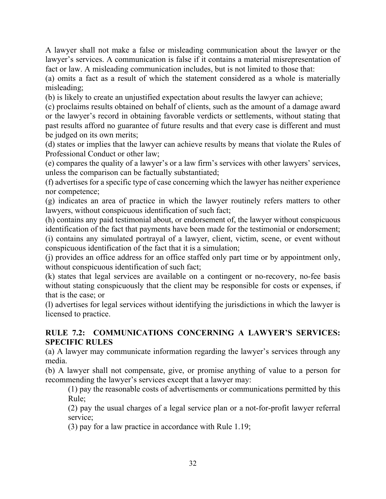A lawyer shall not make a false or misleading communication about the lawyer or the lawyer's services. A communication is false if it contains a material misrepresentation of fact or law. A misleading communication includes, but is not limited to those that:

(a) omits a fact as a result of which the statement considered as a whole is materially misleading;

(b) is likely to create an unjustified expectation about results the lawyer can achieve;

(c) proclaims results obtained on behalf of clients, such as the amount of a damage award or the lawyer's record in obtaining favorable verdicts or settlements, without stating that past results afford no guarantee of future results and that every case is different and must be judged on its own merits;

(d) states or implies that the lawyer can achieve results by means that violate the Rules of Professional Conduct or other law;

(e) compares the quality of a lawyer's or a law firm's services with other lawyers' services, unless the comparison can be factually substantiated;

(f) advertises for a specific type of case concerning which the lawyer has neither experience nor competence;

(g) indicates an area of practice in which the lawyer routinely refers matters to other lawyers, without conspicuous identification of such fact;

(h) contains any paid testimonial about, or endorsement of, the lawyer without conspicuous identification of the fact that payments have been made for the testimonial or endorsement; (i) contains any simulated portrayal of a lawyer, client, victim, scene, or event without conspicuous identification of the fact that it is a simulation;

(j) provides an office address for an office staffed only part time or by appointment only, without conspicuous identification of such fact;

(k) states that legal services are available on a contingent or no-recovery, no-fee basis without stating conspicuously that the client may be responsible for costs or expenses, if that is the case; or

(l) advertises for legal services without identifying the jurisdictions in which the lawyer is licensed to practice.

#### **RULE 7.2: COMMUNICATIONS CONCERNING A LAWYER'S SERVICES: SPECIFIC RULES**

(a) A lawyer may communicate information regarding the lawyer's services through any media.

(b) A lawyer shall not compensate, give, or promise anything of value to a person for recommending the lawyer's services except that a lawyer may:

(1) pay the reasonable costs of advertisements or communications permitted by this Rule;

(2) pay the usual charges of a legal service plan or a not-for-profit lawyer referral service;

(3) pay for a law practice in accordance with Rule 1.19;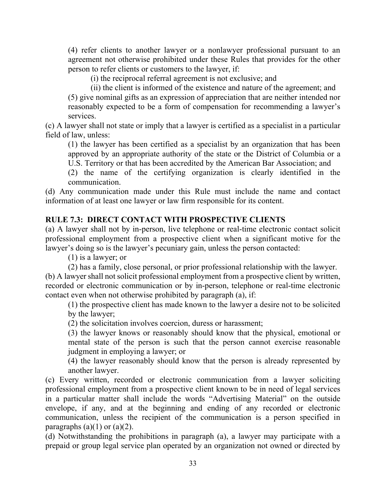(4) refer clients to another lawyer or a nonlawyer professional pursuant to an agreement not otherwise prohibited under these Rules that provides for the other person to refer clients or customers to the lawyer, if:

(i) the reciprocal referral agreement is not exclusive; and

(ii) the client is informed of the existence and nature of the agreement; and (5) give nominal gifts as an expression of appreciation that are neither intended nor reasonably expected to be a form of compensation for recommending a lawyer's services.

(c) A lawyer shall not state or imply that a lawyer is certified as a specialist in a particular field of law, unless:

(1) the lawyer has been certified as a specialist by an organization that has been approved by an appropriate authority of the state or the District of Columbia or a U.S. Territory or that has been accredited by the American Bar Association; and

(2) the name of the certifying organization is clearly identified in the communication.

(d) Any communication made under this Rule must include the name and contact information of at least one lawyer or law firm responsible for its content.

### **RULE 7.3: DIRECT CONTACT WITH PROSPECTIVE CLIENTS**

(a) A lawyer shall not by in-person, live telephone or real-time electronic contact solicit professional employment from a prospective client when a significant motive for the lawyer's doing so is the lawyer's pecuniary gain, unless the person contacted:

(1) is a lawyer; or

(2) has a family, close personal, or prior professional relationship with the lawyer.

(b) A lawyer shall not solicit professional employment from a prospective client by written, recorded or electronic communication or by in-person, telephone or real-time electronic contact even when not otherwise prohibited by paragraph (a), if:

(1) the prospective client has made known to the lawyer a desire not to be solicited by the lawyer;

(2) the solicitation involves coercion, duress or harassment;

(3) the lawyer knows or reasonably should know that the physical, emotional or mental state of the person is such that the person cannot exercise reasonable judgment in employing a lawyer; or

(4) the lawyer reasonably should know that the person is already represented by another lawyer.

(c) Every written, recorded or electronic communication from a lawyer soliciting professional employment from a prospective client known to be in need of legal services in a particular matter shall include the words "Advertising Material" on the outside envelope, if any, and at the beginning and ending of any recorded or electronic communication, unless the recipient of the communication is a person specified in paragraphs  $(a)(1)$  or  $(a)(2)$ .

(d) Notwithstanding the prohibitions in paragraph (a), a lawyer may participate with a prepaid or group legal service plan operated by an organization not owned or directed by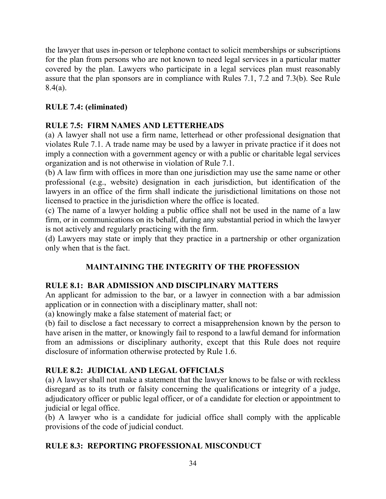the lawyer that uses in-person or telephone contact to solicit memberships or subscriptions for the plan from persons who are not known to need legal services in a particular matter covered by the plan. Lawyers who participate in a legal services plan must reasonably assure that the plan sponsors are in compliance with Rules 7.1, 7.2 and 7.3(b). See Rule 8.4(a).

# **RULE 7.4: (eliminated)**

# **RULE 7.5: FIRM NAMES AND LETTERHEADS**

(a) A lawyer shall not use a firm name, letterhead or other professional designation that violates Rule 7.1. A trade name may be used by a lawyer in private practice if it does not imply a connection with a government agency or with a public or charitable legal services organization and is not otherwise in violation of Rule 7.1.

(b) A law firm with offices in more than one jurisdiction may use the same name or other professional (e.g., website) designation in each jurisdiction, but identification of the lawyers in an office of the firm shall indicate the jurisdictional limitations on those not licensed to practice in the jurisdiction where the office is located.

(c) The name of a lawyer holding a public office shall not be used in the name of a law firm, or in communications on its behalf, during any substantial period in which the lawyer is not actively and regularly practicing with the firm.

(d) Lawyers may state or imply that they practice in a partnership or other organization only when that is the fact.

# **MAINTAINING THE INTEGRITY OF THE PROFESSION**

# **RULE 8.1: BAR ADMISSION AND DISCIPLINARY MATTERS**

An applicant for admission to the bar, or a lawyer in connection with a bar admission application or in connection with a disciplinary matter, shall not:

(a) knowingly make a false statement of material fact; or

(b) fail to disclose a fact necessary to correct a misapprehension known by the person to have arisen in the matter, or knowingly fail to respond to a lawful demand for information from an admissions or disciplinary authority, except that this Rule does not require disclosure of information otherwise protected by Rule 1.6.

# **RULE 8.2: JUDICIAL AND LEGAL OFFICIALS**

(a) A lawyer shall not make a statement that the lawyer knows to be false or with reckless disregard as to its truth or falsity concerning the qualifications or integrity of a judge, adjudicatory officer or public legal officer, or of a candidate for election or appointment to judicial or legal office.

(b) A lawyer who is a candidate for judicial office shall comply with the applicable provisions of the code of judicial conduct.

# **RULE 8.3: REPORTING PROFESSIONAL MISCONDUCT**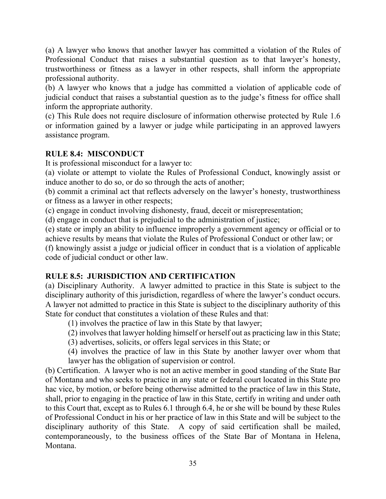(a) A lawyer who knows that another lawyer has committed a violation of the Rules of Professional Conduct that raises a substantial question as to that lawyer's honesty, trustworthiness or fitness as a lawyer in other respects, shall inform the appropriate professional authority.

(b) A lawyer who knows that a judge has committed a violation of applicable code of judicial conduct that raises a substantial question as to the judge's fitness for office shall inform the appropriate authority.

(c) This Rule does not require disclosure of information otherwise protected by Rule 1.6 or information gained by a lawyer or judge while participating in an approved lawyers assistance program.

### **RULE 8.4: MISCONDUCT**

It is professional misconduct for a lawyer to:

(a) violate or attempt to violate the Rules of Professional Conduct, knowingly assist or induce another to do so, or do so through the acts of another;

(b) commit a criminal act that reflects adversely on the lawyer's honesty, trustworthiness or fitness as a lawyer in other respects;

(c) engage in conduct involving dishonesty, fraud, deceit or misrepresentation;

(d) engage in conduct that is prejudicial to the administration of justice;

(e) state or imply an ability to influence improperly a government agency or official or to achieve results by means that violate the Rules of Professional Conduct or other law; or

(f) knowingly assist a judge or judicial officer in conduct that is a violation of applicable code of judicial conduct or other law.

### **RULE 8.5: JURISDICTION AND CERTIFICATION**

(a) Disciplinary Authority. A lawyer admitted to practice in this State is subject to the disciplinary authority of this jurisdiction, regardless of where the lawyer's conduct occurs. A lawyer not admitted to practice in this State is subject to the disciplinary authority of this State for conduct that constitutes a violation of these Rules and that:

(1) involves the practice of law in this State by that lawyer;

(2) involves that lawyer holding himself or herself out as practicing law in this State;

(3) advertises, solicits, or offers legal services in this State; or

(4) involves the practice of law in this State by another lawyer over whom that lawyer has the obligation of supervision or control.

(b) Certification. A lawyer who is not an active member in good standing of the State Bar of Montana and who seeks to practice in any state or federal court located in this State pro hac vice, by motion, or before being otherwise admitted to the practice of law in this State, shall, prior to engaging in the practice of law in this State, certify in writing and under oath to this Court that, except as to Rules 6.1 through 6.4, he or she will be bound by these Rules of Professional Conduct in his or her practice of law in this State and will be subject to the disciplinary authority of this State. A copy of said certification shall be mailed, contemporaneously, to the business offices of the State Bar of Montana in Helena, Montana.